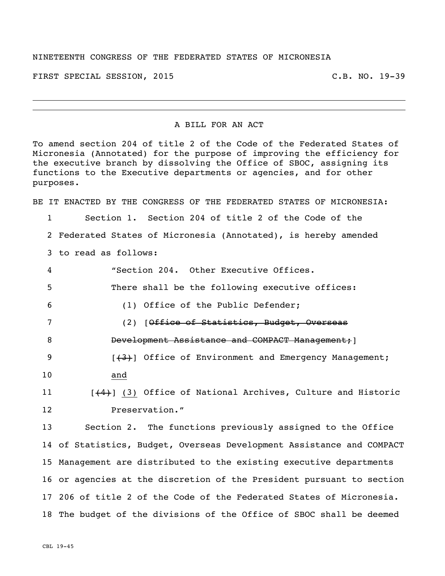## NINETEENTH CONGRESS OF THE FEDERATED STATES OF MICRONESIA

FIRST SPECIAL SESSION, 2015 C.B. NO. 19-39

## A BILL FOR AN ACT

To amend section 204 of title 2 of the Code of the Federated States of Micronesia (Annotated) for the purpose of improving the efficiency for the executive branch by dissolving the Office of SBOC, assigning its functions to the Executive departments or agencies, and for other purposes.

BE IT ENACTED BY THE CONGRESS OF THE FEDERATED STATES OF MICRONESIA:

1 Section 1. Section 204 of title 2 of the Code of the 2 Federated States of Micronesia (Annotated), is hereby amended 3 to read as follows:

 "Section 204. Other Executive Offices. There shall be the following executive offices: (1) Office of the Public Defender; (2) [Office of Statistics, Budget, Overseas 8 Development Assistance and COMPACT Management; **19** [(3)] Office of Environment and Emergency Management; 10 and

11 [(4)] (3) Office of National Archives, Culture and Historic 12 Preservation."

 Section 2. The functions previously assigned to the Office of Statistics, Budget, Overseas Development Assistance and COMPACT Management are distributed to the existing executive departments or agencies at the discretion of the President pursuant to section 206 of title 2 of the Code of the Federated States of Micronesia. The budget of the divisions of the Office of SBOC shall be deemed